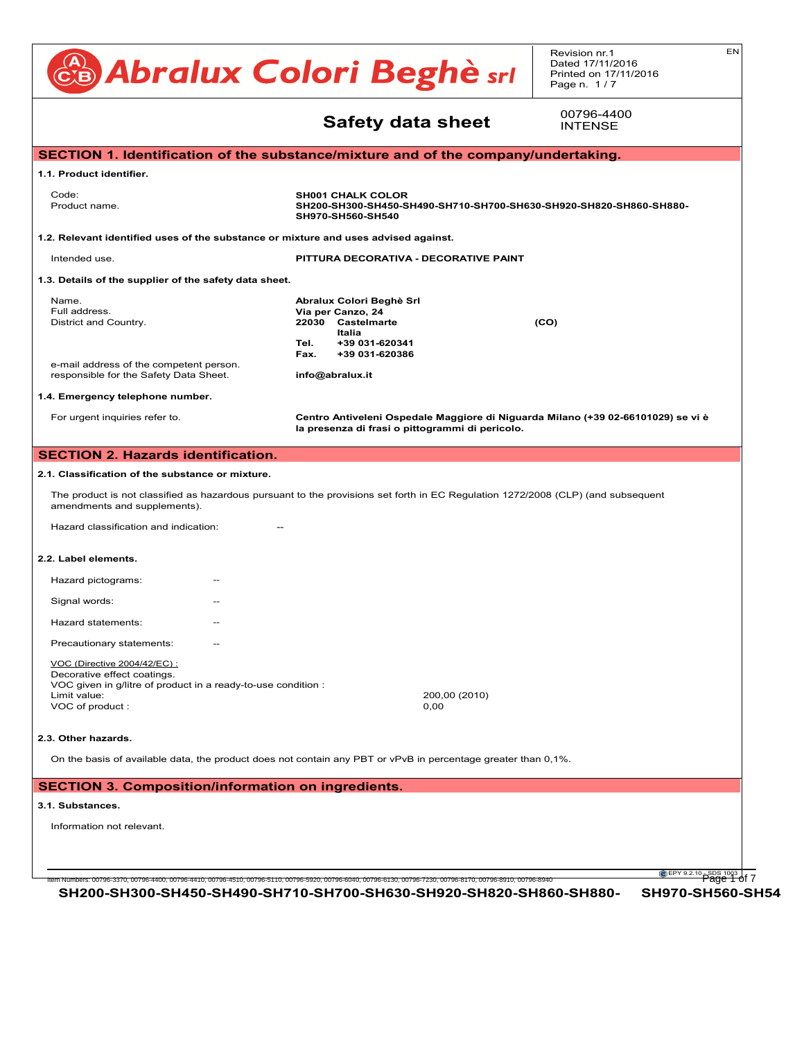|                                                                                                                                   | <b>SAbralux Colori Beghè</b> sri                                                                                                    | EN<br>Revision nr.1<br>Dated 17/11/2016<br>Printed on 17/11/2016<br>Page n. 1/7 |  |  |  |
|-----------------------------------------------------------------------------------------------------------------------------------|-------------------------------------------------------------------------------------------------------------------------------------|---------------------------------------------------------------------------------|--|--|--|
|                                                                                                                                   | <b>Safety data sheet</b>                                                                                                            | 00796-4400<br><b>INTENSE</b>                                                    |  |  |  |
|                                                                                                                                   | SECTION 1. Identification of the substance/mixture and of the company/undertaking.                                                  |                                                                                 |  |  |  |
| 1.1. Product identifier.                                                                                                          |                                                                                                                                     |                                                                                 |  |  |  |
| Code:<br>Product name.                                                                                                            | <b>SH001 CHALK COLOR</b><br>SH970-SH560-SH540                                                                                       | SH200-SH300-SH450-SH490-SH710-SH700-SH630-SH920-SH820-SH860-SH880-              |  |  |  |
| 1.2. Relevant identified uses of the substance or mixture and uses advised against.                                               |                                                                                                                                     |                                                                                 |  |  |  |
| Intended use.                                                                                                                     | PITTURA DECORATIVA - DECORATIVE PAINT                                                                                               |                                                                                 |  |  |  |
| 1.3. Details of the supplier of the safety data sheet.                                                                            |                                                                                                                                     |                                                                                 |  |  |  |
| Name.<br>Full address.<br>District and Country.                                                                                   | Abralux Colori Beghè Srl<br>Via per Canzo, 24<br>22030 Castelmarte<br>Italia<br>Tel.<br>+39 031-620341<br>Fax.<br>+39 031-620386    | (CO)                                                                            |  |  |  |
| e-mail address of the competent person.<br>responsible for the Safety Data Sheet.                                                 | info@abralux.it                                                                                                                     |                                                                                 |  |  |  |
| 1.4. Emergency telephone number.                                                                                                  |                                                                                                                                     |                                                                                 |  |  |  |
| For urgent inquiries refer to.                                                                                                    | Centro Antiveleni Ospedale Maggiore di Niguarda Milano (+39 02-66101029) se vi è<br>la presenza di frasi o pittogrammi di pericolo. |                                                                                 |  |  |  |
| amendments and supplements).<br>Hazard classification and indication:                                                             | The product is not classified as hazardous pursuant to the provisions set forth in EC Regulation 1272/2008 (CLP) (and subsequent    |                                                                                 |  |  |  |
| 2.2. Label elements.                                                                                                              |                                                                                                                                     |                                                                                 |  |  |  |
| Hazard pictograms:                                                                                                                |                                                                                                                                     |                                                                                 |  |  |  |
| Signal words:                                                                                                                     |                                                                                                                                     |                                                                                 |  |  |  |
| Hazard statements:                                                                                                                |                                                                                                                                     |                                                                                 |  |  |  |
| Precautionary statements:                                                                                                         |                                                                                                                                     |                                                                                 |  |  |  |
| VOC (Directive 2004/42/EC):<br>Decorative effect coatings.<br>VOC given in g/litre of product in a ready-to-use condition :       |                                                                                                                                     |                                                                                 |  |  |  |
| Limit value:<br>VOC of product:                                                                                                   | 200,00 (2010)<br>0,00                                                                                                               |                                                                                 |  |  |  |
|                                                                                                                                   |                                                                                                                                     |                                                                                 |  |  |  |
|                                                                                                                                   |                                                                                                                                     |                                                                                 |  |  |  |
|                                                                                                                                   | On the basis of available data, the product does not contain any PBT or vPvB in percentage greater than 0,1%.                       |                                                                                 |  |  |  |
|                                                                                                                                   |                                                                                                                                     |                                                                                 |  |  |  |
|                                                                                                                                   |                                                                                                                                     |                                                                                 |  |  |  |
| 2.3. Other hazards.<br><b>SECTION 3. Composition/information on ingredients.</b><br>3.1. Substances.<br>Information not relevant. |                                                                                                                                     |                                                                                 |  |  |  |

**SH200-SH300-SH450-SH490-SH710-SH700-SH630-SH920-SH820-SH860-SH880- SH970-SH560-SH540**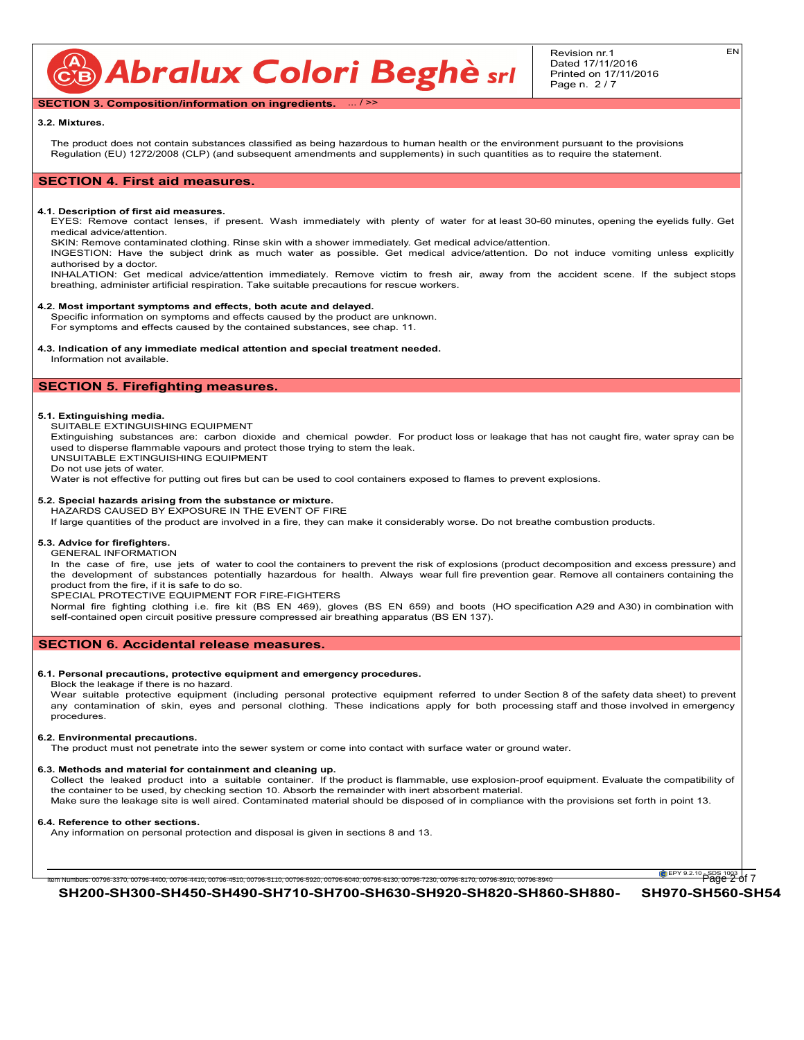CB Abralux Colori Beghè srl

# **SECTION 3. Composition/information on ingredients.** ... / >>

#### **3.2. Mixtures.**

The product does not contain substances classified as being hazardous to human health or the environment pursuant to the provisions Regulation (EU) 1272/2008 (CLP) (and subsequent amendments and supplements) in such quantities as to require the statement.

# **SECTION 4. First aid measures.**

## **4.1. Description of first aid measures.**

EYES: Remove contact lenses, if present. Wash immediately with plenty of water for at least 30-60 minutes, opening the eyelids fully. Get medical advice/attention.

SKIN: Remove contaminated clothing. Rinse skin with a shower immediately. Get medical advice/attention.

INGESTION: Have the subject drink as much water as possible. Get medical advice/attention. Do not induce vomiting unless explicitly authorised by a doctor.

INHALATION: Get medical advice/attention immediately. Remove victim to fresh air, away from the accident scene. If the subject stops breathing, administer artificial respiration. Take suitable precautions for rescue workers.

#### **4.2. Most important symptoms and effects, both acute and delayed.**

Specific information on symptoms and effects caused by the product are unknown. For symptoms and effects caused by the contained substances, see chap. 11.

# **4.3. Indication of any immediate medical attention and special treatment needed.**

Information not available.

# **SECTION 5. Firefighting measures.**

# **5.1. Extinguishing media.**

SUITABLE EXTINGUISHING EQUIPMENT

Extinguishing substances are: carbon dioxide and chemical powder. For product loss or leakage that has not caught fire, water spray can be used to disperse flammable vapours and protect those trying to stem the leak.

UNSUITABLE EXTINGUISHING EQUIPMENT

Do not use jets of water.

Water is not effective for putting out fires but can be used to cool containers exposed to flames to prevent explosions.

#### **5.2. Special hazards arising from the substance or mixture.** HAZARDS CAUSED BY EXPOSURE IN THE EVENT OF FIRE

If large quantities of the product are involved in a fire, they can make it considerably worse. Do not breathe combustion products.

#### **5.3. Advice for firefighters.** GENERAL INFORMATION

In the case of fire, use jets of water to cool the containers to prevent the risk of explosions (product decomposition and excess pressure) and the development of substances potentially hazardous for health. Always wear full fire prevention gear. Remove all containers containing the product from the fire, if it is safe to do so.

SPECIAL PROTECTIVE EQUIPMENT FOR FIRE-FIGHTERS

Normal fire fighting clothing i.e. fire kit (BS EN 469), gloves (BS EN 659) and boots (HO specification A29 and A30) in combination with self-contained open circuit positive pressure compressed air breathing apparatus (BS EN 137).

# **SECTION 6. Accidental release measures.**

#### **6.1. Personal precautions, protective equipment and emergency procedures.**

Block the leakage if there is no hazard.

Wear suitable protective equipment (including personal protective equipment referred to under Section 8 of the safety data sheet) to prevent any contamination of skin, eyes and personal clothing. These indications apply for both processing staff and those involved in emergency procedures.

## **6.2. Environmental precautions.**

The product must not penetrate into the sewer system or come into contact with surface water or ground water.

Item Numbers: 00796-3370, 00796-4400, 00796-4410, 00796-4510, 00796-5110, 00796-5920, 00796-6040, 00796-6130, 00796-7230, 00796-8170, 00796-8910, 00796-8940 Page 2 of 7

#### **6.3. Methods and material for containment and cleaning up.**

Collect the leaked product into a suitable container. If the product is flammable, use explosion-proof equipment. Evaluate the compatibility of the container to be used, by checking section 10. Absorb the remainder with inert absorbent material. Make sure the leakage site is well aired. Contaminated material should be disposed of in compliance with the provisions set forth in point 13.

#### **6.4. Reference to other sections.**

Any information on personal protection and disposal is given in sections 8 and 13.

**EPY 9.2.10 SDS 1003 of 7** 

**SH200-SH300-SH450-SH490-SH710-SH700-SH630-SH920-SH820-SH860-SH880- SH970-SH560-SH540**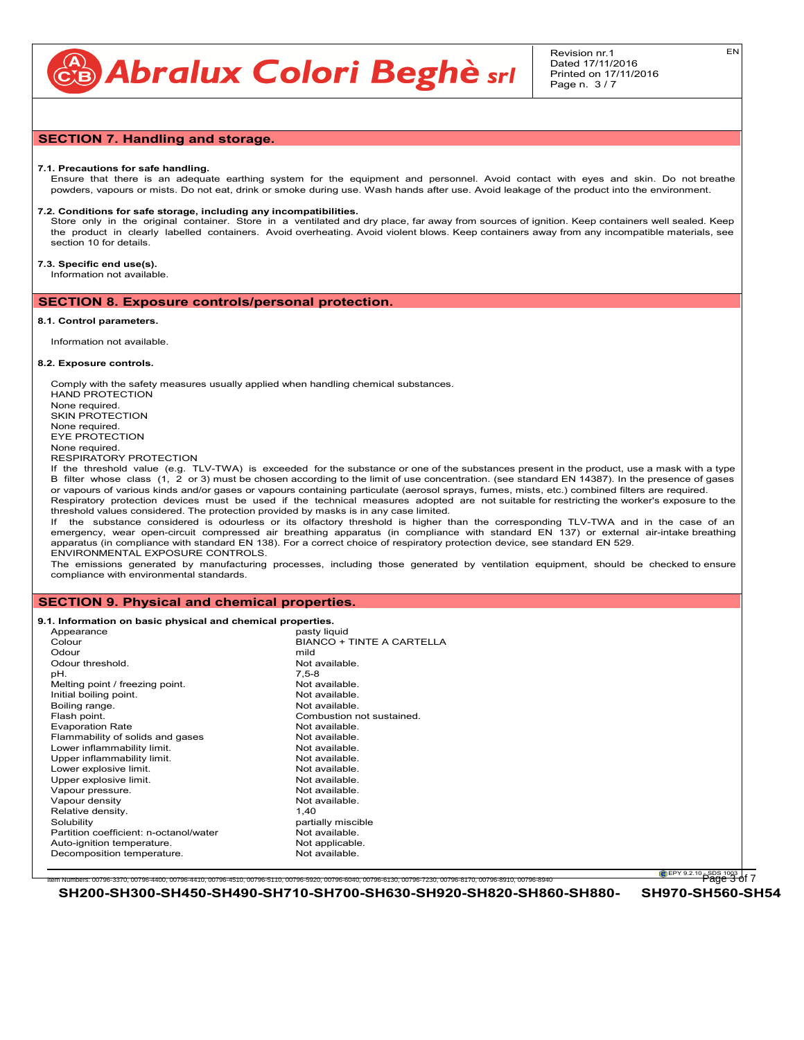**CB** Abralux Colori Beghè sri

# **SECTION 7. Handling and storage.**

#### **7.1. Precautions for safe handling.**

Ensure that there is an adequate earthing system for the equipment and personnel. Avoid contact with eyes and skin. Do not breathe powders, vapours or mists. Do not eat, drink or smoke during use. Wash hands after use. Avoid leakage of the product into the environment.

# **7.2. Conditions for safe storage, including any incompatibilities.**

Store only in the original container. Store in a ventilated and dry place, far away from sources of ignition. Keep containers well sealed. Keep the product in clearly labelled containers. Avoid overheating. Avoid violent blows. Keep containers away from any incompatible materials, see section 10 for details.

# **7.3. Specific end use(s).**

Information not available.

# **SECTION 8. Exposure controls/personal protection.**

#### **8.1. Control parameters.**

Information not available.

## **8.2. Exposure controls.**

Comply with the safety measures usually applied when handling chemical substances. HAND PROTECTION None required. SKIN PROTECTION None required. EYE PROTECTION None required. RESPIRATORY PROTECTION If the threshold value (e.g. TLV-TWA) is exceeded for the substance or one of the substances present in the product, use a mask with a type B filter whose class (1, 2 or 3) must be chosen according to the limit of use concentration. (see standard EN 14387). In the presence of gases

or vapours of various kinds and/or gases or vapours containing particulate (aerosol sprays, fumes, mists, etc.) combined filters are required. Respiratory protection devices must be used if the technical measures adopted are not suitable for restricting the worker's exposure to the threshold values considered. The protection provided by masks is in any case limited.

If the substance considered is odourless or its olfactory threshold is higher than the corresponding TLV-TWA and in the case of an emergency, wear open-circuit compressed air breathing apparatus (in compliance with standard EN 137) or external air-intake breathing apparatus (in compliance with standard EN 138). For a correct choice of respiratory protection device, see standard EN 529. ENVIRONMENTAL EXPOSURE CONTROLS.

The emissions generated by manufacturing processes, including those generated by ventilation equipment, should be checked to ensure compliance with environmental standards.

# **SECTION 9. Physical and chemical properties.**

**9.1. Information on basic physical and chemical properties.**

| Appearance                             | pasty liquid              |
|----------------------------------------|---------------------------|
| Colour                                 | BIANCO + TINTE A CARTELLA |
| Odour                                  | mild                      |
| Odour threshold.                       | Not available.            |
| pH.                                    | $7,5-8$                   |
| Melting point / freezing point.        | Not available.            |
| Initial boiling point.                 | Not available.            |
| Boiling range.                         | Not available.            |
| Flash point.                           | Combustion not sustained. |
| <b>Evaporation Rate</b>                | Not available.            |
| Flammability of solids and gases       | Not available.            |
| Lower inflammability limit.            | Not available.            |
| Upper inflammability limit.            | Not available.            |
| Lower explosive limit.                 | Not available.            |
| Upper explosive limit.                 | Not available.            |
| Vapour pressure.                       | Not available.            |
| Vapour density                         | Not available.            |
| Relative density.                      | 1.40                      |
| Solubility                             | partially miscible        |
| Partition coefficient: n-octanol/water | Not available.            |
| Auto-ignition temperature.             | Not applicable.           |
| Decomposition temperature.             | Not available.            |
|                                        |                           |

Numbers: 00796-3370, 00796-4400, 00796-4410, 00796-4510, 00796-5110, 00796-5920, 00796-6040, 00796-6130, 00796-7230, 00796-8170, 00796-8910, 00796-89

**EPY 9.2.10 SDS 1003 of 7** 

**SH200-SH300-SH450-SH490-SH710-SH700-SH630-SH920-SH820-SH860-SH880- SH970-SH560-SH540**

EN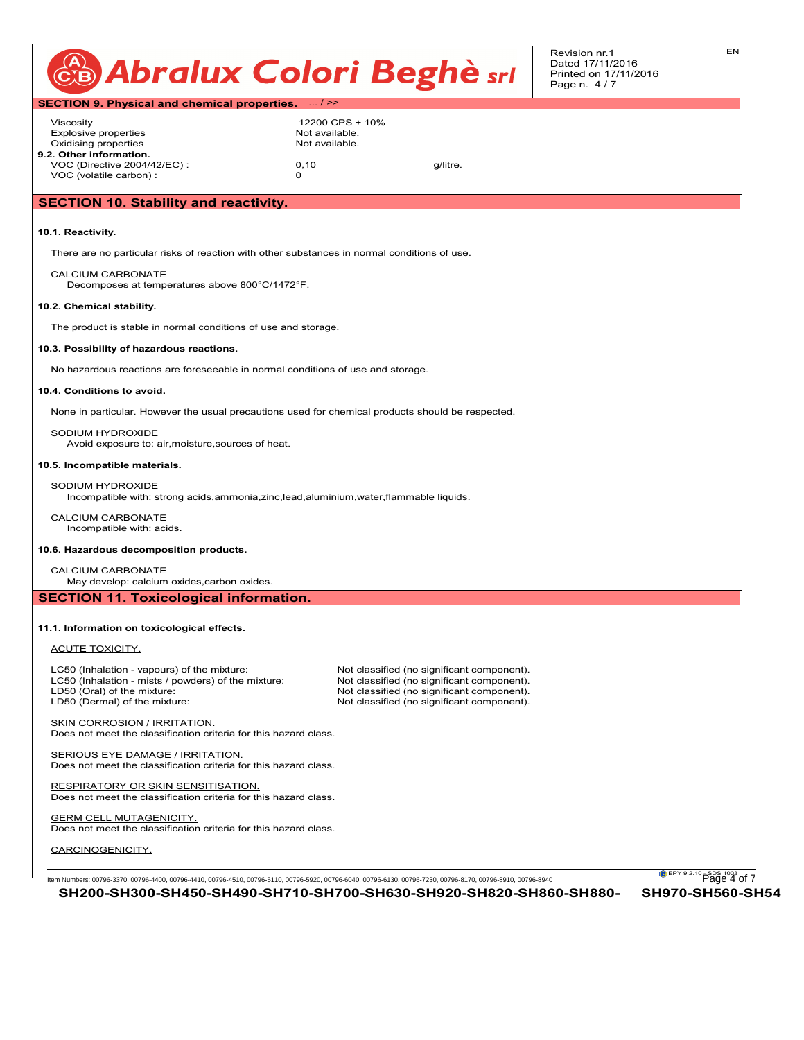| Revision nr. 1<br>CB Abralux Colori Beghè srl<br>Page n. 4// | EN.<br>Dated 17/11/2016<br>Printed on 17/11/2016 |  |
|--------------------------------------------------------------|--------------------------------------------------|--|
|--------------------------------------------------------------|--------------------------------------------------|--|

EN

| SECTION 9. Physical and chemical properties.  / >>                                                                                                           |                 |                                            |  |         |  |  |
|--------------------------------------------------------------------------------------------------------------------------------------------------------------|-----------------|--------------------------------------------|--|---------|--|--|
| Viscosity                                                                                                                                                    | 12200 CPS ± 10% |                                            |  |         |  |  |
| <b>Explosive properties</b>                                                                                                                                  | Not available.  |                                            |  |         |  |  |
| Oxidising properties                                                                                                                                         | Not available.  |                                            |  |         |  |  |
| 9.2. Other information.<br>VOC (Directive 2004/42/EC) :                                                                                                      | 0, 10           | g/litre.                                   |  |         |  |  |
| VOC (volatile carbon) :                                                                                                                                      | 0               |                                            |  |         |  |  |
|                                                                                                                                                              |                 |                                            |  |         |  |  |
| <b>SECTION 10. Stability and reactivity.</b>                                                                                                                 |                 |                                            |  |         |  |  |
|                                                                                                                                                              |                 |                                            |  |         |  |  |
| 10.1. Reactivity.                                                                                                                                            |                 |                                            |  |         |  |  |
|                                                                                                                                                              |                 |                                            |  |         |  |  |
| There are no particular risks of reaction with other substances in normal conditions of use.                                                                 |                 |                                            |  |         |  |  |
| <b>CALCIUM CARBONATE</b>                                                                                                                                     |                 |                                            |  |         |  |  |
| Decomposes at temperatures above 800°C/1472°F.                                                                                                               |                 |                                            |  |         |  |  |
| 10.2. Chemical stability.                                                                                                                                    |                 |                                            |  |         |  |  |
|                                                                                                                                                              |                 |                                            |  |         |  |  |
| The product is stable in normal conditions of use and storage.                                                                                               |                 |                                            |  |         |  |  |
| 10.3. Possibility of hazardous reactions.                                                                                                                    |                 |                                            |  |         |  |  |
|                                                                                                                                                              |                 |                                            |  |         |  |  |
| No hazardous reactions are foreseeable in normal conditions of use and storage.                                                                              |                 |                                            |  |         |  |  |
| 10.4. Conditions to avoid.                                                                                                                                   |                 |                                            |  |         |  |  |
| None in particular. However the usual precautions used for chemical products should be respected.                                                            |                 |                                            |  |         |  |  |
|                                                                                                                                                              |                 |                                            |  |         |  |  |
| SODIUM HYDROXIDE                                                                                                                                             |                 |                                            |  |         |  |  |
| Avoid exposure to: air, moisture, sources of heat.                                                                                                           |                 |                                            |  |         |  |  |
| 10.5. Incompatible materials.                                                                                                                                |                 |                                            |  |         |  |  |
|                                                                                                                                                              |                 |                                            |  |         |  |  |
| SODIUM HYDROXIDE<br>Incompatible with: strong acids, ammonia, zinc, lead, aluminium, water, flammable liquids.                                               |                 |                                            |  |         |  |  |
|                                                                                                                                                              |                 |                                            |  |         |  |  |
| <b>CALCIUM CARBONATE</b>                                                                                                                                     |                 |                                            |  |         |  |  |
| Incompatible with: acids.                                                                                                                                    |                 |                                            |  |         |  |  |
| 10.6. Hazardous decomposition products.                                                                                                                      |                 |                                            |  |         |  |  |
| CALCIUM CARBONATE                                                                                                                                            |                 |                                            |  |         |  |  |
| May develop: calcium oxides, carbon oxides.                                                                                                                  |                 |                                            |  |         |  |  |
| <b>SECTION 11. Toxicological information.</b>                                                                                                                |                 |                                            |  |         |  |  |
|                                                                                                                                                              |                 |                                            |  |         |  |  |
| 11.1. Information on toxicological effects.                                                                                                                  |                 |                                            |  |         |  |  |
|                                                                                                                                                              |                 |                                            |  |         |  |  |
| <b>ACUTE TOXICITY.</b>                                                                                                                                       |                 |                                            |  |         |  |  |
| LC50 (Inhalation - vapours) of the mixture:                                                                                                                  |                 | Not classified (no significant component). |  |         |  |  |
| LC50 (Inhalation - mists / powders) of the mixture:                                                                                                          |                 | Not classified (no significant component). |  |         |  |  |
| LD50 (Oral) of the mixture:                                                                                                                                  |                 | Not classified (no significant component). |  |         |  |  |
| LD50 (Dermal) of the mixture:                                                                                                                                |                 | Not classified (no significant component). |  |         |  |  |
| SKIN CORROSION / IRRITATION.                                                                                                                                 |                 |                                            |  |         |  |  |
| Does not meet the classification criteria for this hazard class.                                                                                             |                 |                                            |  |         |  |  |
|                                                                                                                                                              |                 |                                            |  |         |  |  |
| <b>SERIOUS EYE DAMAGE / IRRITATION.</b>                                                                                                                      |                 |                                            |  |         |  |  |
| Does not meet the classification criteria for this hazard class.                                                                                             |                 |                                            |  |         |  |  |
| RESPIRATORY OR SKIN SENSITISATION.                                                                                                                           |                 |                                            |  |         |  |  |
| Does not meet the classification criteria for this hazard class.                                                                                             |                 |                                            |  |         |  |  |
|                                                                                                                                                              |                 |                                            |  |         |  |  |
| <b>GERM CELL MUTAGENICITY.</b><br>Does not meet the classification criteria for this hazard class.                                                           |                 |                                            |  |         |  |  |
|                                                                                                                                                              |                 |                                            |  |         |  |  |
| CARCINOGENICITY.                                                                                                                                             |                 |                                            |  |         |  |  |
|                                                                                                                                                              |                 |                                            |  | CEPY 9. |  |  |
| Item Numbers: 00796-3370, 00796-4400, 00796-4410, 00796-4510, 00796-5110, 00796-5920, 00796-6040, 00796-6130, 00796-7230, 00796-8170, 00796-8910, 00796-8910 |                 |                                            |  |         |  |  |

**SH200-SH300-SH450-SH490-SH710-SH700-SH630-SH920-SH820-SH860-SH880- SH970-SH560-SH540**

 $\frac{12.10}{20}$  Page 4 of 7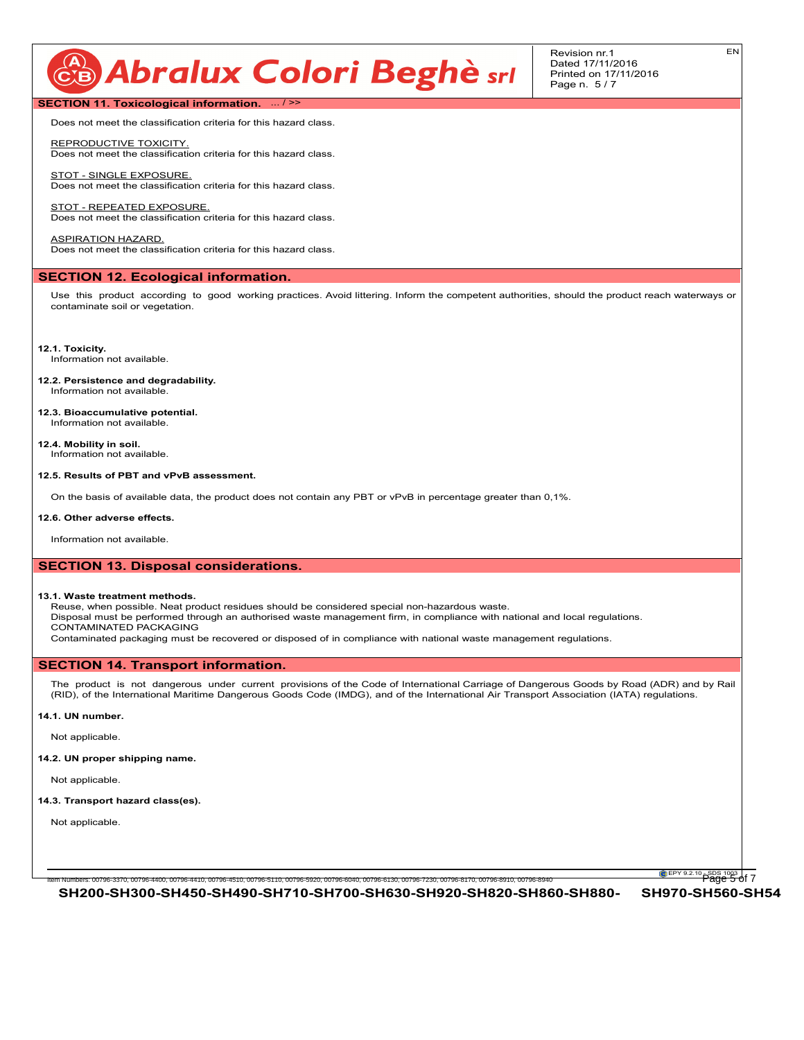# **Abralux Colori Beghè sri**

Revision nr.1 Dated 17/11/2016 Printed on 17/11/2016 Page n. 5 / 7

**SECTION 11. Toxicological information.** ... / >>

Does not meet the classification criteria for this hazard class.

REPRODUCTIVE TOXICITY. Does not meet the classification criteria for this hazard class.

STOT - SINGLE EXPOSURE. Does not meet the classification criteria for this hazard class.

STOT - REPEATED EXPOSURE Does not meet the classification criteria for this hazard class.

ASPIRATION HAZARD. Does not meet the classification criteria for this hazard class.

# **SECTION 12. Ecological information.**

Use this product according to good working practices. Avoid littering. Inform the competent authorities, should the product reach waterways or contaminate soil or vegetation.

**12.1. Toxicity.** Information not available.

- **12.2. Persistence and degradability.** Information not available.
- **12.3. Bioaccumulative potential.** Information not available.
- **12.4. Mobility in soil.** Information not available.

**12.5. Results of PBT and vPvB assessment.**

On the basis of available data, the product does not contain any PBT or vPvB in percentage greater than 0,1%.

# **12.6. Other adverse effects.**

Information not available.

# **SECTION 13. Disposal considerations.**

## **13.1. Waste treatment methods.**

Reuse, when possible. Neat product residues should be considered special non-hazardous waste.

Item Numbers: 00796-3370, 00796-4400, 00796-4410, 00796-4510, 00796-5110, 00796-5920, 00796-6040, 00796-6130, 00796-7230, 00796-8170, 00796-8910, 00796-8940 Page 5 of 7

Disposal must be performed through an authorised waste management firm, in compliance with national and local regulations. CONTAMINATED PACKAGING

Contaminated packaging must be recovered or disposed of in compliance with national waste management regulations.

# **SECTION 14. Transport information.**

The product is not dangerous under current provisions of the Code of International Carriage of Dangerous Goods by Road (ADR) and by Rail (RID), of the International Maritime Dangerous Goods Code (IMDG), and of the International Air Transport Association (IATA) regulations.

# **14.1. UN number.**

Not applicable.

# **14.2. UN proper shipping name.**

Not applicable.

# **14.3. Transport hazard class(es).**

Not applicable.

**EPY 9.2.10 SDS 1003 of 7** 

**SH200-SH300-SH450-SH490-SH710-SH700-SH630-SH920-SH820-SH860-SH880- SH970-SH560-SH540**

EN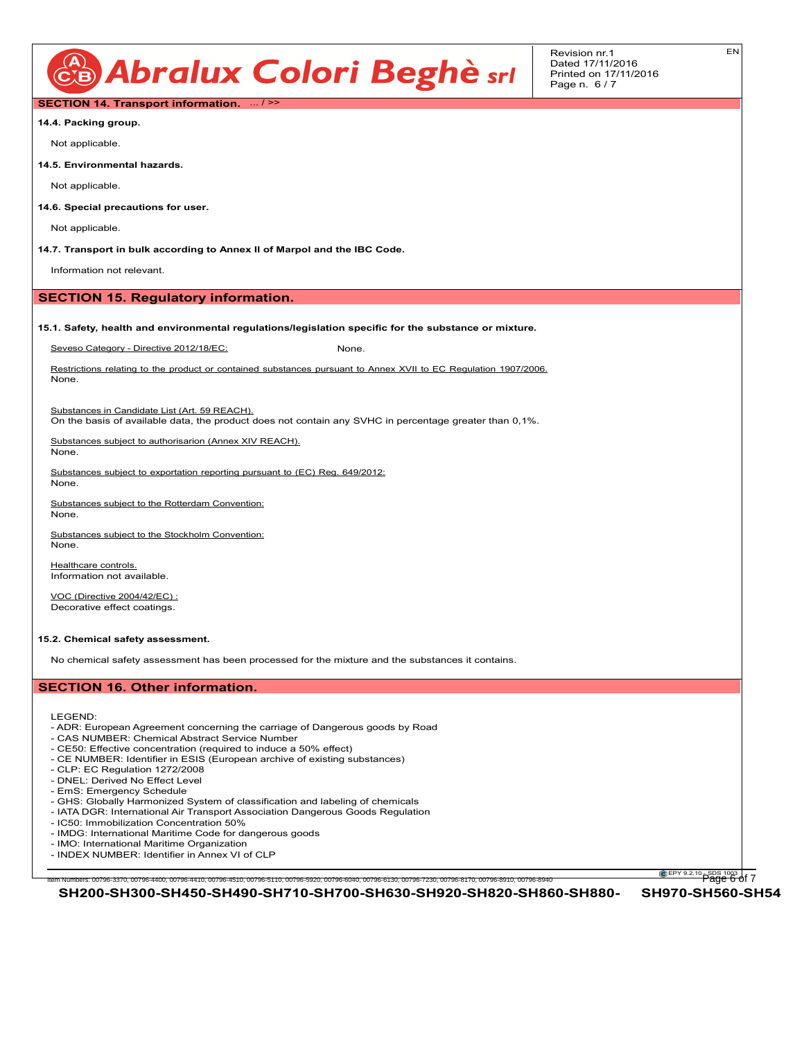

EN

# **SECTION 14. Transport information.** ... / >>

**14.4. Packing group.**

Not applicable.

**14.5. Environmental hazards.**

Not applicable.

**14.6. Special precautions for user.**

Not applicable.

None.

None.

None.

**14.7. Transport in bulk according to Annex II of Marpol and the IBC Code.**

Information not relevant.

# **SECTION 15. Regulatory information.**

#### **15.1. Safety, health and environmental regulations/legislation specific for the substance or mixture.**

Seveso Category - Directive 2012/18/EC: None.

Restrictions relating to the product or contained substances pursuant to Annex XVII to EC Regulation 1907/2006.

Substances in Candidate List (Art. 59 REACH).

On the basis of available data, the product does not contain any SVHC in percentage greater than 0,1%.

Substances subject to authorisarion (Annex XIV REACH). None.

Substances subject to exportation reporting pursuant to (EC) Reg. 649/2012:

Substances subject to the Rotterdam Convention:

Substances subject to the Stockholm Convention: None.

Healthcare controls. Information not available.

VOC (Directive 2004/42/EC) : Decorative effect coatings.

#### **15.2. Chemical safety assessment.**

No chemical safety assessment has been processed for the mixture and the substances it contains.

n Numbers: 00796-3370, 00796-4400, 00796-4410, 00796-4510, 00796-5110, 00796-5920, 00796-6100, 00796-7230, 00796-7230, 00796-8170, 00796-8910, 00796-8940

# **SECTION 16. Other information.**

LEGEND:

- ADR: European Agreement concerning the carriage of Dangerous goods by Road
- CAS NUMBER: Chemical Abstract Service Number
- CE50: Effective concentration (required to induce a 50% effect) - CE NUMBER: Identifier in ESIS (European archive of existing substances)
- CLP: EC Regulation 1272/2008
- DNEL: Derived No Effect Level
- EmS: Emergency Schedule
- GHS: Globally Harmonized System of classification and labeling of chemicals
- IATA DGR: International Air Transport Association Dangerous Goods Regulation
- IC50: Immobilization Concentration 50%
- IMDG: International Maritime Code for dangerous goods
- IMO: International Maritime Organization
- INDEX NUMBER: Identifier in Annex VI of CLP

**EPY 9.2.10** SDS 1003 of 7

**SH200-SH300-SH450-SH490-SH710-SH700-SH630-SH920-SH820-SH860-SH880- SH970-SH560-SH540**